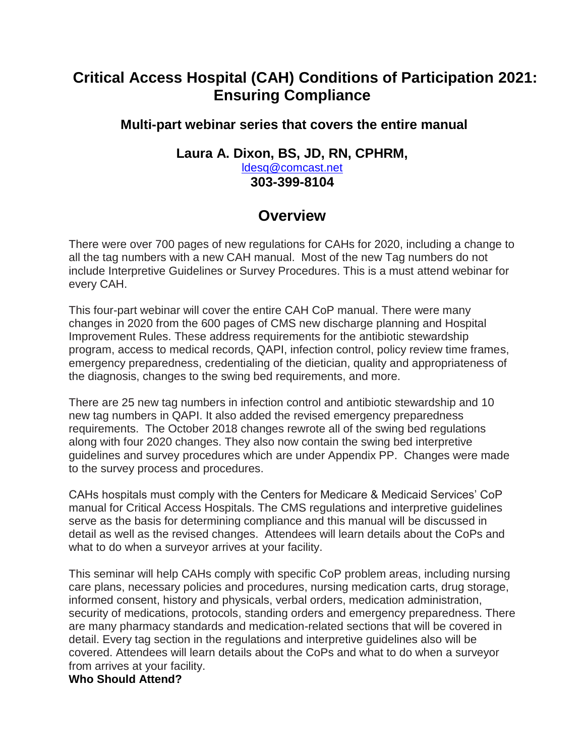# **Critical Access Hospital (CAH) Conditions of Participation 2021: Ensuring Compliance**

## **Multi-part webinar series that covers the entire manual**

### **Laura A. Dixon, BS, JD, RN, CPHRM,**  [ldesq@comcast.net](mailto:ldesq@comcast.net) **303-399-8104**

# **Overview**

There were over 700 pages of new regulations for CAHs for 2020, including a change to all the tag numbers with a new CAH manual. Most of the new Tag numbers do not include Interpretive Guidelines or Survey Procedures. This is a must attend webinar for every CAH.

This four-part webinar will cover the entire CAH CoP manual. There were many changes in 2020 from the 600 pages of CMS new discharge planning and Hospital Improvement Rules. These address requirements for the antibiotic stewardship program, access to medical records, QAPI, infection control, policy review time frames, emergency preparedness, credentialing of the dietician, quality and appropriateness of the diagnosis, changes to the swing bed requirements, and more.

There are 25 new tag numbers in infection control and antibiotic stewardship and 10 new tag numbers in QAPI. It also added the revised emergency preparedness requirements. The October 2018 changes rewrote all of the swing bed regulations along with four 2020 changes. They also now contain the swing bed interpretive guidelines and survey procedures which are under Appendix PP. Changes were made to the survey process and procedures.

CAHs hospitals must comply with the Centers for Medicare & Medicaid Services' CoP manual for Critical Access Hospitals. The CMS regulations and interpretive guidelines serve as the basis for determining compliance and this manual will be discussed in detail as well as the revised changes. Attendees will learn details about the CoPs and what to do when a surveyor arrives at your facility.

This seminar will help CAHs comply with specific CoP problem areas, including nursing care plans, necessary policies and procedures, nursing medication carts, drug storage, informed consent, history and physicals, verbal orders, medication administration, security of medications, protocols, standing orders and emergency preparedness. There are many pharmacy standards and medication-related sections that will be covered in detail. Every tag section in the regulations and interpretive guidelines also will be covered. Attendees will learn details about the CoPs and what to do when a surveyor from arrives at your facility.

### **Who Should Attend?**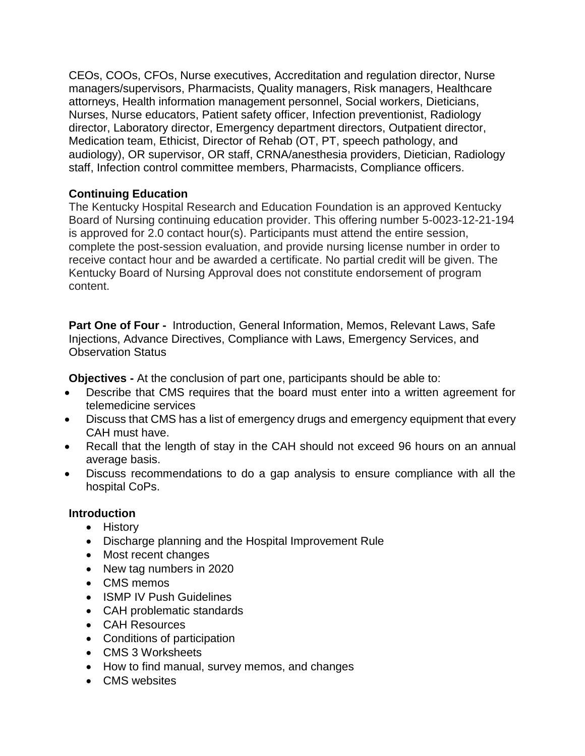CEOs, COOs, CFOs, Nurse executives, Accreditation and regulation director, Nurse managers/supervisors, Pharmacists, Quality managers, Risk managers, Healthcare attorneys, Health information management personnel, Social workers, Dieticians, Nurses, Nurse educators, Patient safety officer, Infection preventionist, Radiology director, Laboratory director, Emergency department directors, Outpatient director, Medication team, Ethicist, Director of Rehab (OT, PT, speech pathology, and audiology), OR supervisor, OR staff, CRNA/anesthesia providers, Dietician, Radiology staff, Infection control committee members, Pharmacists, Compliance officers.

#### **Continuing Education**

The Kentucky Hospital Research and Education Foundation is an approved Kentucky Board of Nursing continuing education provider. This offering number 5-0023-12-21-194 is approved for 2.0 contact hour(s). Participants must attend the entire session, complete the post-session evaluation, and provide nursing license number in order to receive contact hour and be awarded a certificate. No partial credit will be given. The Kentucky Board of Nursing Approval does not constitute endorsement of program content.

**Part One of Four -** Introduction, General Information, Memos, Relevant Laws, Safe Injections, Advance Directives, Compliance with Laws, Emergency Services, and Observation Status

**Objectives -** At the conclusion of part one, participants should be able to:

- Describe that CMS requires that the board must enter into a written agreement for telemedicine services
- Discuss that CMS has a list of emergency drugs and emergency equipment that every CAH must have.
- Recall that the length of stay in the CAH should not exceed 96 hours on an annual average basis.
- Discuss recommendations to do a gap analysis to ensure compliance with all the hospital CoPs.

#### **Introduction**

- History
- Discharge planning and the Hospital Improvement Rule
- Most recent changes
- New tag numbers in 2020
- CMS memos
- ISMP IV Push Guidelines
- CAH problematic standards
- CAH Resources
- Conditions of participation
- CMS 3 Worksheets
- How to find manual, survey memos, and changes
- CMS websites